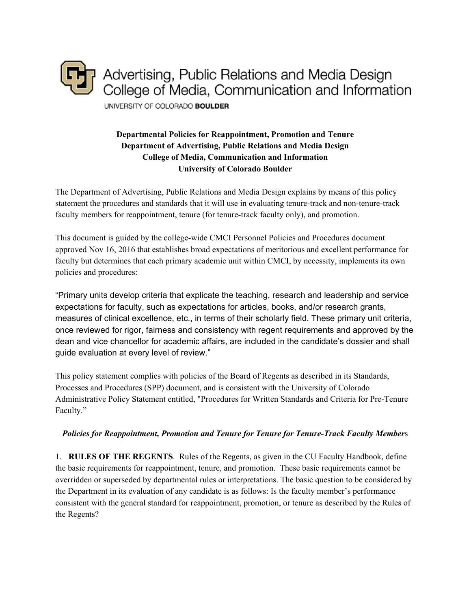

# **Departmental Policies for Reappointment, Promotion and Tenure Department of Advertising, Public Relations and Media Design College of Media, Communication and Information University of Colorado Boulder**

The Department of Advertising, Public Relations and Media Design explains by means of this policy statement the procedures and standards that it will use in evaluating tenure-track and non-tenure-track faculty members for reappointment, tenure (for tenure-track faculty only), and promotion.

This document is guided by the college-wide CMCI Personnel Policies and Procedures document approved Nov 16, 2016 that establishes broad expectations of meritorious and excellent performance for faculty but determines that each primary academic unit within CMCI, by necessity, implements its own policies and procedures:

"Primary units develop criteria that explicate the teaching, research and leadership and service expectations for faculty, such as expectations for articles, books, and/or research grants, measures of clinical excellence, etc., in terms of their scholarly field. These primary unit criteria, once reviewed for rigor, fairness and consistency with regent requirements and approved by the dean and vice chancellor for academic affairs, are included in the candidate's dossier and shall guide evaluation at every level of review."

This policy statement complies with policies of the Board of Regents as described in its Standards, Processes and Procedures (SPP) document, and is consistent with the University of Colorado Administrative Policy Statement entitled, "Procedures for Written Standards and Criteria for Pre-Tenure Faculty."

### *Policies for Reappointment, Promotion and Tenure for Tenure for Tenure-Track Faculty Member*s

1. **RULES OF THE REGENTS**. Rules of the Regents, as given in the CU Faculty Handbook, define the basic requirements for reappointment, tenure, and promotion. These basic requirements cannot be overridden or superseded by departmental rules or interpretations. The basic question to be considered by the Department in its evaluation of any candidate is as follows: Is the faculty member's performance consistent with the general standard for reappointment, promotion, or tenure as described by the Rules of the Regents?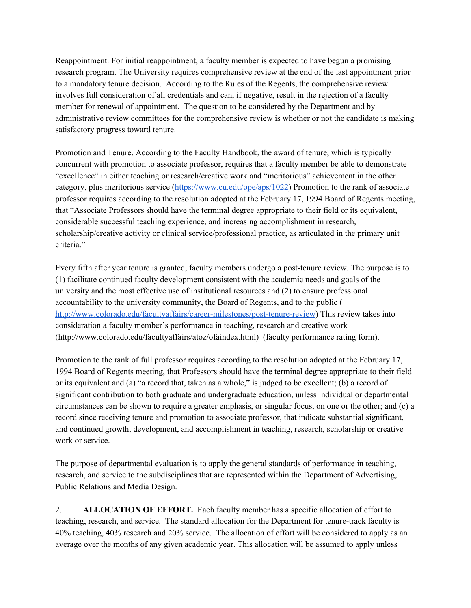Reappointment. For initial reappointment, a faculty member is expected to have begun a promising research program. The University requires comprehensive review at the end of the last appointment prior to a mandatory tenure decision. According to the Rules of the Regents, the comprehensive review involves full consideration of all credentials and can, if negative, result in the rejection of a faculty member for renewal of appointment. The question to be considered by the Department and by administrative review committees for the comprehensive review is whether or not the candidate is making satisfactory progress toward tenure.

Promotion and Tenure. According to the Faculty Handbook, the award of tenure, which is typically concurrent with promotion to associate professor, requires that a faculty member be able to demonstrate "excellence" in either teaching or research/creative work and "meritorious" achievement in the other category, plus meritorious service [\(https://www.cu.edu/ope/aps/1022](https://www.cu.edu/ope/aps/1022)) Promotion to the rank of associate professor requires according to the resolution adopted at the February 17, 1994 Board of Regents meeting, that "Associate Professors should have the terminal degree appropriate to their field or its equivalent, considerable successful teaching experience, and increasing accomplishment in research, scholarship/creative activity or clinical service/professional practice, as articulated in the primary unit criteria."

Every fifth after year tenure is granted, faculty members undergo a post-tenure review. The purpose is to (1) facilitate continued faculty development consistent with the academic needs and goals of the university and the most effective use of institutional resources and (2) to ensure professional accountability to the university community, the Board of Regents, and to the public ( <http://www.colorado.edu/facultyaffairs/career-milestones/post-tenure-review>) This review takes into consideration a faculty member's performance in teaching, research and creative work (http://www.colorado.edu/facultyaffairs/atoz/ofaindex.html) (faculty performance rating form).

Promotion to the rank of full professor requires according to the resolution adopted at the February 17, 1994 Board of Regents meeting, that Professors should have the terminal degree appropriate to their field or its equivalent and (a) "a record that, taken as a whole," is judged to be excellent; (b) a record of significant contribution to both graduate and undergraduate education, unless individual or departmental circumstances can be shown to require a greater emphasis, or singular focus, on one or the other; and (c) a record since receiving tenure and promotion to associate professor, that indicate substantial significant, and continued growth, development, and accomplishment in teaching, research, scholarship or creative work or service.

The purpose of departmental evaluation is to apply the general standards of performance in teaching, research, and service to the subdisciplines that are represented within the Department of Advertising, Public Relations and Media Design.

2. **ALLOCATION OF EFFORT.** Each faculty member has a specific allocation of effort to teaching, research, and service. The standard allocation for the Department for tenure-track faculty is 40% teaching, 40% research and 20% service. The allocation of effort will be considered to apply as an average over the months of any given academic year. This allocation will be assumed to apply unless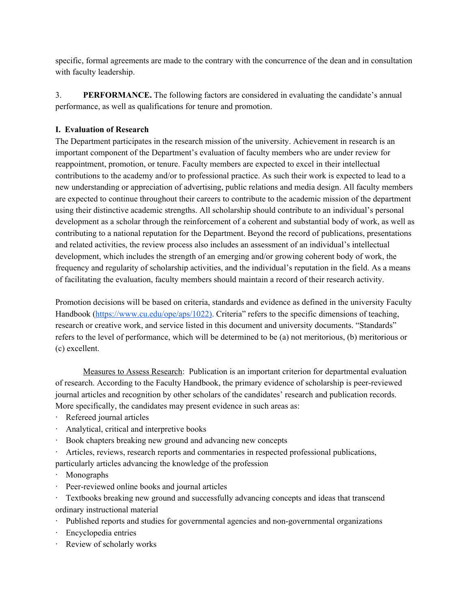specific, formal agreements are made to the contrary with the concurrence of the dean and in consultation with faculty leadership.

3. **PERFORMANCE.** The following factors are considered in evaluating the candidate's annual performance, as well as qualifications for tenure and promotion.

## **I. Evaluation of Research**

The Department participates in the research mission of the university. Achievement in research is an important component of the Department's evaluation of faculty members who are under review for reappointment, promotion, or tenure. Faculty members are expected to excel in their intellectual contributions to the academy and/or to professional practice. As such their work is expected to lead to a new understanding or appreciation of advertising, public relations and media design. All faculty members are expected to continue throughout their careers to contribute to the academic mission of the department using their distinctive academic strengths. All scholarship should contribute to an individual's personal development as a scholar through the reinforcement of a coherent and substantial body of work, as well as contributing to a national reputation for the Department. Beyond the record of publications, presentations and related activities, the review process also includes an assessment of an individual's intellectual development, which includes the strength of an emerging and/or growing coherent body of work, the frequency and regularity of scholarship activities, and the individual's reputation in the field. As a means of facilitating the evaluation, faculty members should maintain a record of their research activity.

Promotion decisions will be based on criteria, standards and evidence as defined in the university Faculty Handbook [\(https://www.cu.edu/ope/aps/1022\)](https://www.cu.edu/ope/aps/1022)). Criteria" refers to the specific dimensions of teaching, research or creative work, and service listed in this document and university documents. "Standards" refers to the level of performance, which will be determined to be (a) not meritorious, (b) meritorious or (c) excellent.

Measures to Assess Research: Publication is an important criterion for departmental evaluation of research. According to the Faculty Handbook, the primary evidence of scholarship is peer-reviewed journal articles and recognition by other scholars of the candidates' research and publication records. More specifically, the candidates may present evidence in such areas as:

- · Refereed journal articles
- · Analytical, critical and interpretive books
- · Book chapters breaking new ground and advancing new concepts
- · Articles, reviews, research reports and commentaries in respected professional publications,

particularly articles advancing the knowledge of the profession

- · Monographs
- · Peer-reviewed online books and journal articles

· Textbooks breaking new ground and successfully advancing concepts and ideas that transcend ordinary instructional material

- · Published reports and studies for governmental agencies and non-governmental organizations
- · Encyclopedia entries
- · Review of scholarly works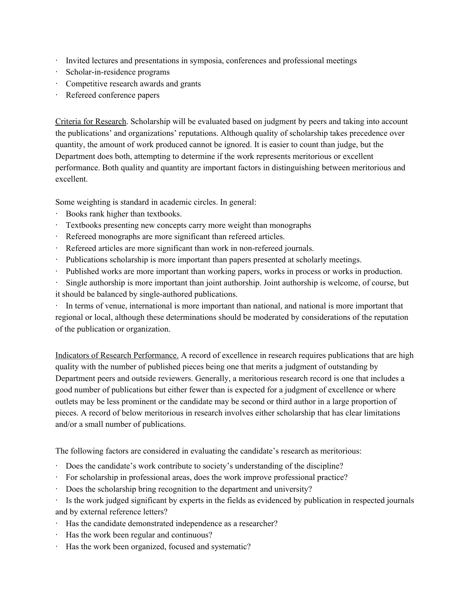- · Invited lectures and presentations in symposia, conferences and professional meetings
- · Scholar-in-residence programs
- · Competitive research awards and grants
- Refereed conference papers

Criteria for Research. Scholarship will be evaluated based on judgment by peers and taking into account the publications' and organizations' reputations. Although quality of scholarship takes precedence over quantity, the amount of work produced cannot be ignored. It is easier to count than judge, but the Department does both, attempting to determine if the work represents meritorious or excellent performance. Both quality and quantity are important factors in distinguishing between meritorious and excellent.

Some weighting is standard in academic circles. In general:

- · Books rank higher than textbooks.
- · Textbooks presenting new concepts carry more weight than monographs
- · Refereed monographs are more significant than refereed articles.
- · Refereed articles are more significant than work in non-refereed journals.
- · Publications scholarship is more important than papers presented at scholarly meetings.
- · Published works are more important than working papers, works in process or works in production.
- · Single authorship is more important than joint authorship. Joint authorship is welcome, of course, but it should be balanced by single-authored publications.

· In terms of venue, international is more important than national, and national is more important that regional or local, although these determinations should be moderated by considerations of the reputation of the publication or organization.

Indicators of Research Performance. A record of excellence in research requires publications that are high quality with the number of published pieces being one that merits a judgment of outstanding by Department peers and outside reviewers. Generally, a meritorious research record is one that includes a good number of publications but either fewer than is expected for a judgment of excellence or where outlets may be less prominent or the candidate may be second or third author in a large proportion of pieces. A record of below meritorious in research involves either scholarship that has clear limitations and/or a small number of publications.

The following factors are considered in evaluating the candidate's research as meritorious:

- · Does the candidate's work contribute to society's understanding of the discipline?
- · For scholarship in professional areas, does the work improve professional practice?
- · Does the scholarship bring recognition to the department and university?
- · Is the work judged significant by experts in the fields as evidenced by publication in respected journals and by external reference letters?
- · Has the candidate demonstrated independence as a researcher?
- · Has the work been regular and continuous?
- · Has the work been organized, focused and systematic?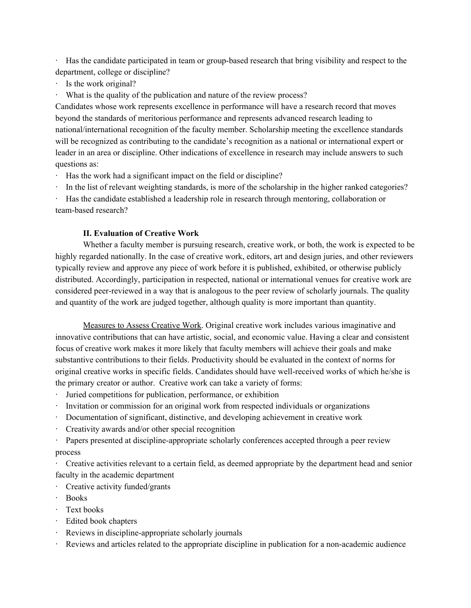· Has the candidate participated in team or group-based research that bring visibility and respect to the department, college or discipline?

- · Is the work original?
- · What is the quality of the publication and nature of the review process?

Candidates whose work represents excellence in performance will have a research record that moves beyond the standards of meritorious performance and represents advanced research leading to national/international recognition of the faculty member. Scholarship meeting the excellence standards will be recognized as contributing to the candidate's recognition as a national or international expert or leader in an area or discipline. Other indications of excellence in research may include answers to such questions as:

· Has the work had a significant impact on the field or discipline?

· In the list of relevant weighting standards, is more of the scholarship in the higher ranked categories?

Has the candidate established a leadership role in research through mentoring, collaboration or team-based research?

### **II. Evaluation of Creative Work**

Whether a faculty member is pursuing research, creative work, or both, the work is expected to be highly regarded nationally. In the case of creative work, editors, art and design juries, and other reviewers typically review and approve any piece of work before it is published, exhibited, or otherwise publicly distributed. Accordingly, participation in respected, national or international venues for creative work are considered peer-reviewed in a way that is analogous to the peer review of scholarly journals. The quality and quantity of the work are judged together, although quality is more important than quantity.

Measures to Assess Creative Work. Original creative work includes various imaginative and innovative contributions that can have artistic, social, and economic value. Having a clear and consistent focus of creative work makes it more likely that faculty members will achieve their goals and make substantive contributions to their fields. Productivity should be evaluated in the context of norms for original creative works in specific fields. Candidates should have well-received works of which he/she is the primary creator or author. Creative work can take a variety of forms:

- · Juried competitions for publication, performance, or exhibition
- · Invitation or commission for an original work from respected individuals or organizations
- · Documentation of significant, distinctive, and developing achievement in creative work
- · Creativity awards and/or other special recognition
- · Papers presented at discipline-appropriate scholarly conferences accepted through a peer review process

· Creative activities relevant to a certain field, as deemed appropriate by the department head and senior faculty in the academic department

- · Creative activity funded/grants
- · Books
- · Text books
- · Edited book chapters
- · Reviews in discipline-appropriate scholarly journals
- · Reviews and articles related to the appropriate discipline in publication for a non-academic audience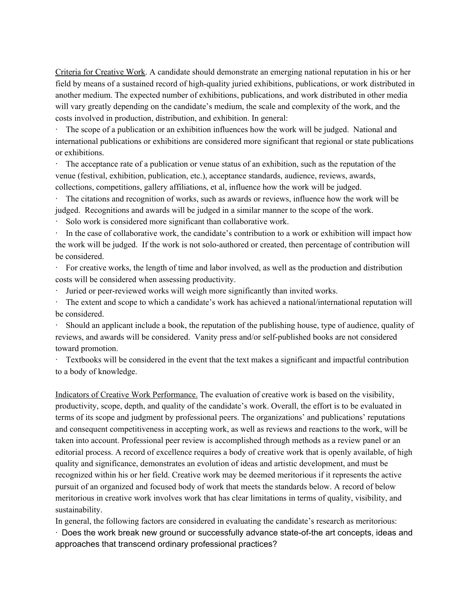Criteria for Creative Work. A candidate should demonstrate an emerging national reputation in his or her field by means of a sustained record of high-quality juried exhibitions, publications, or work distributed in another medium. The expected number of exhibitions, publications, and work distributed in other media will vary greatly depending on the candidate's medium, the scale and complexity of the work, and the costs involved in production, distribution, and exhibition. In general:

The scope of a publication or an exhibition influences how the work will be judged. National and international publications or exhibitions are considered more significant that regional or state publications or exhibitions.

· The acceptance rate of a publication or venue status of an exhibition, such as the reputation of the venue (festival, exhibition, publication, etc.), acceptance standards, audience, reviews, awards, collections, competitions, gallery affiliations, et al, influence how the work will be judged.

The citations and recognition of works, such as awards or reviews, influence how the work will be judged. Recognitions and awards will be judged in a similar manner to the scope of the work.

Solo work is considered more significant than collaborative work.

· In the case of collaborative work, the candidate's contribution to a work or exhibition will impact how the work will be judged. If the work is not solo-authored or created, then percentage of contribution will be considered.

· For creative works, the length of time and labor involved, as well as the production and distribution costs will be considered when assessing productivity.

Juried or peer-reviewed works will weigh more significantly than invited works.

The extent and scope to which a candidate's work has achieved a national/international reputation will be considered.

Should an applicant include a book, the reputation of the publishing house, type of audience, quality of reviews, and awards will be considered. Vanity press and/or self-published books are not considered toward promotion.

· Textbooks will be considered in the event that the text makes a significant and impactful contribution to a body of knowledge.

Indicators of Creative Work Performance. The evaluation of creative work is based on the visibility, productivity, scope, depth, and quality of the candidate's work. Overall, the effort is to be evaluated in terms of its scope and judgment by professional peers. The organizations' and publications' reputations and consequent competitiveness in accepting work, as well as reviews and reactions to the work, will be taken into account. Professional peer review is accomplished through methods as a review panel or an editorial process. A record of excellence requires a body of creative work that is openly available, of high quality and significance, demonstrates an evolution of ideas and artistic development, and must be recognized within his or her field. Creative work may be deemed meritorious if it represents the active pursuit of an organized and focused body of work that meets the standards below. A record of below meritorious in creative work involves work that has clear limitations in terms of quality, visibility, and sustainability.

In general, the following factors are considered in evaluating the candidate's research as meritorious:

· Does the work break new ground or successfully advance state-of-the art concepts, ideas and approaches that transcend ordinary professional practices?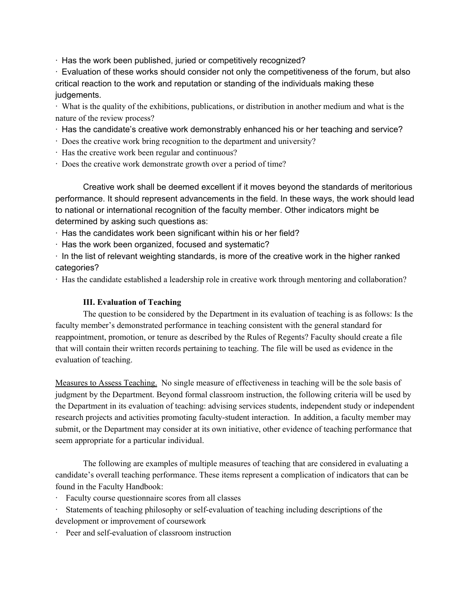· Has the work been published, juried or competitively recognized?

· Evaluation of these works should consider not only the competitiveness of the forum, but also critical reaction to the work and reputation or standing of the individuals making these judgements.

· What is the quality of the exhibitions, publications, or distribution in another medium and what is the nature of the review process?

- · Has the candidate's creative work demonstrably enhanced his or her teaching and service?
- · Does the creative work bring recognition to the department and university?
- · Has the creative work been regular and continuous?
- · Does the creative work demonstrate growth over a period of time?

Creative work shall be deemed excellent if it moves beyond the standards of meritorious performance. It should represent advancements in the field. In these ways, the work should lead to national or international recognition of the faculty member. Other indicators might be determined by asking such questions as:

· Has the candidates work been significant within his or her field?

- · Has the work been organized, focused and systematic?
- · In the list of relevant weighting standards, is more of the creative work in the higher ranked categories?

· Has the candidate established a leadership role in creative work through mentoring and collaboration?

## **III. Evaluation of Teaching**

The question to be considered by the Department in its evaluation of teaching is as follows: Is the faculty member's demonstrated performance in teaching consistent with the general standard for reappointment, promotion, or tenure as described by the Rules of Regents? Faculty should create a file that will contain their written records pertaining to teaching. The file will be used as evidence in the evaluation of teaching.

Measures to Assess Teaching. No single measure of effectiveness in teaching will be the sole basis of judgment by the Department. Beyond formal classroom instruction, the following criteria will be used by the Department in its evaluation of teaching: advising services students, independent study or independent research projects and activities promoting faculty-student interaction. In addition, a faculty member may submit, or the Department may consider at its own initiative, other evidence of teaching performance that seem appropriate for a particular individual.

The following are examples of multiple measures of teaching that are considered in evaluating a candidate's overall teaching performance. These items represent a complication of indicators that can be found in the Faculty Handbook:

- Faculty course questionnaire scores from all classes
- Statements of teaching philosophy or self-evaluation of teaching including descriptions of the development or improvement of coursework
- · Peer and self-evaluation of classroom instruction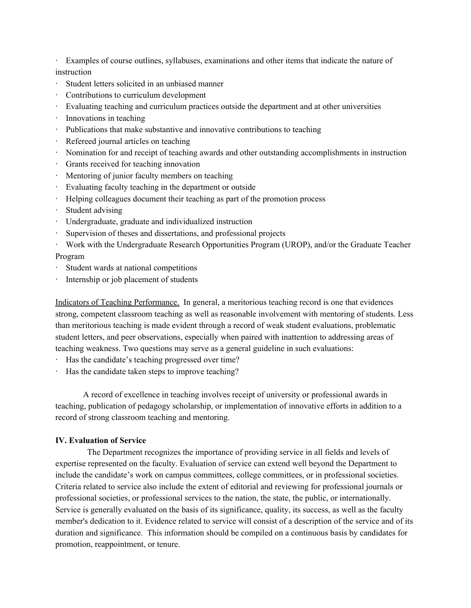· Examples of course outlines, syllabuses, examinations and other items that indicate the nature of instruction

- · Student letters solicited in an unbiased manner
- · Contributions to curriculum development
- · Evaluating teaching and curriculum practices outside the department and at other universities
- · Innovations in teaching
- · Publications that make substantive and innovative contributions to teaching
- · Refereed journal articles on teaching
- · Nomination for and receipt of teaching awards and other outstanding accomplishments in instruction
- · Grants received for teaching innovation
- · Mentoring of junior faculty members on teaching
- · Evaluating faculty teaching in the department or outside
- · Helping colleagues document their teaching as part of the promotion process
- · Student advising
- · Undergraduate, graduate and individualized instruction
- · Supervision of theses and dissertations, and professional projects
- · Work with the Undergraduate Research Opportunities Program (UROP), and/or the Graduate Teacher Program
- Student wards at national competitions
- Internship or job placement of students

Indicators of Teaching Performance. In general, a meritorious teaching record is one that evidences strong, competent classroom teaching as well as reasonable involvement with mentoring of students. Less than meritorious teaching is made evident through a record of weak student evaluations, problematic student letters, and peer observations, especially when paired with inattention to addressing areas of teaching weakness. Two questions may serve as a general guideline in such evaluations:

- · Has the candidate's teaching progressed over time?
- · Has the candidate taken steps to improve teaching?

A record of excellence in teaching involves receipt of university or professional awards in teaching, publication of pedagogy scholarship, or implementation of innovative efforts in addition to a record of strong classroom teaching and mentoring.

#### **IV. Evaluation of Service**

The Department recognizes the importance of providing service in all fields and levels of expertise represented on the faculty. Evaluation of service can extend well beyond the Department to include the candidate's work on campus committees, college committees, or in professional societies. Criteria related to service also include the extent of editorial and reviewing for professional journals or professional societies, or professional services to the nation, the state, the public, or internationally. Service is generally evaluated on the basis of its significance, quality, its success, as well as the faculty member's dedication to it. Evidence related to service will consist of a description of the service and of its duration and significance. This information should be compiled on a continuous basis by candidates for promotion, reappointment, or tenure.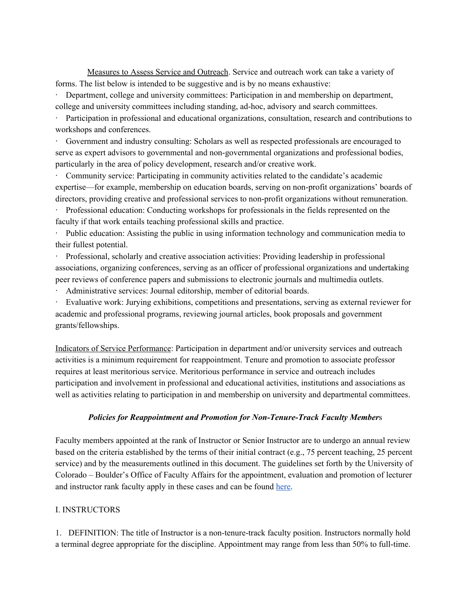Measures to Assess Service and Outreach. Service and outreach work can take a variety of forms. The list below is intended to be suggestive and is by no means exhaustive:

· Department, college and university committees: Participation in and membership on department, college and university committees including standing, ad-hoc, advisory and search committees.

Participation in professional and educational organizations, consultation, research and contributions to workshops and conferences.

Government and industry consulting: Scholars as well as respected professionals are encouraged to serve as expert advisors to governmental and non-governmental organizations and professional bodies, particularly in the area of policy development, research and/or creative work.

· Community service: Participating in community activities related to the candidate's academic expertise—for example, membership on education boards, serving on non-profit organizations' boards of directors, providing creative and professional services to non-profit organizations without remuneration.

· Professional education: Conducting workshops for professionals in the fields represented on the faculty if that work entails teaching professional skills and practice.

Public education: Assisting the public in using information technology and communication media to their fullest potential.

· Professional, scholarly and creative association activities: Providing leadership in professional associations, organizing conferences, serving as an officer of professional organizations and undertaking peer reviews of conference papers and submissions to electronic journals and multimedia outlets.

Administrative services: Journal editorship, member of editorial boards.

Evaluative work: Jurying exhibitions, competitions and presentations, serving as external reviewer for academic and professional programs, reviewing journal articles, book proposals and government grants/fellowships.

Indicators of Service Performance: Participation in department and/or university services and outreach activities is a minimum requirement for reappointment. Tenure and promotion to associate professor requires at least meritorious service. Meritorious performance in service and outreach includes participation and involvement in professional and educational activities, institutions and associations as well as activities relating to participation in and membership on university and departmental committees.

#### *Policies for Reappointment and Promotion for Non-Tenure-Track Faculty Member*s

Faculty members appointed at the rank of Instructor or Senior Instructor are to undergo an annual review based on the criteria established by the terms of their initial contract (e.g., 75 percent teaching, 25 percent service) and by the measurements outlined in this document. The guidelines set forth by the University of Colorado – Boulder's Office of Faculty Affairs for the appointment, evaluation and promotion of lecturer and instructor rank faculty apply in these cases and can be foun[d](https://www.colorado.edu/facultyaffairs/sites/default/files/attached-files/lecturer_instructor_appointment_evaluation_promotion_guidelines_2017_revisions_remediated_091917.pdf) [here.](https://www.colorado.edu/facultyaffairs/sites/default/files/attached-files/lecturer_instructor_appointment_evaluation_promotion_guidelines_2017_revisions_remediated_091917.pdf)

#### I. INSTRUCTORS

1. DEFINITION: The title of Instructor is a non-tenure-track faculty position. Instructors normally hold a terminal degree appropriate for the discipline. Appointment may range from less than 50% to full-time.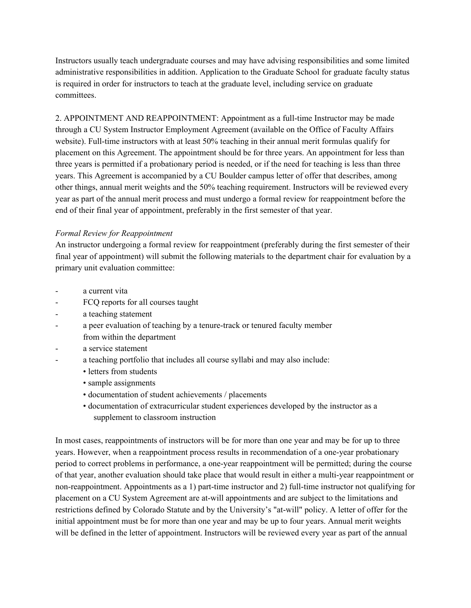Instructors usually teach undergraduate courses and may have advising responsibilities and some limited administrative responsibilities in addition. Application to the Graduate School for graduate faculty status is required in order for instructors to teach at the graduate level, including service on graduate committees.

2. APPOINTMENT AND REAPPOINTMENT: Appointment as a full-time Instructor may be made through a CU System Instructor Employment Agreement (available on the Office of Faculty Affairs website). Full-time instructors with at least 50% teaching in their annual merit formulas qualify for placement on this Agreement. The appointment should be for three years. An appointment for less than three years is permitted if a probationary period is needed, or if the need for teaching is less than three years. This Agreement is accompanied by a CU Boulder campus letter of offer that describes, among other things, annual merit weights and the 50% teaching requirement. Instructors will be reviewed every year as part of the annual merit process and must undergo a formal review for reappointment before the end of their final year of appointment, preferably in the first semester of that year.

### *Formal Review for Reappointment*

An instructor undergoing a formal review for reappointment (preferably during the first semester of their final year of appointment) will submit the following materials to the department chair for evaluation by a primary unit evaluation committee:

- a current vita
- FCQ reports for all courses taught
- a teaching statement
- a peer evaluation of teaching by a tenure-track or tenured faculty member from within the department
- a service statement
- a teaching portfolio that includes all course syllabi and may also include:
	- letters from students
	- sample assignments
	- documentation of student achievements / placements
	- documentation of extracurricular student experiences developed by the instructor as a supplement to classroom instruction

In most cases, reappointments of instructors will be for more than one year and may be for up to three years. However, when a reappointment process results in recommendation of a one-year probationary period to correct problems in performance, a one-year reappointment will be permitted; during the course of that year, another evaluation should take place that would result in either a multi-year reappointment or non-reappointment. Appointments as a 1) part-time instructor and 2) full-time instructor not qualifying for placement on a CU System Agreement are at-will appointments and are subject to the limitations and restrictions defined by Colorado Statute and by the University's "at-will" policy. A letter of offer for the initial appointment must be for more than one year and may be up to four years. Annual merit weights will be defined in the letter of appointment. Instructors will be reviewed every year as part of the annual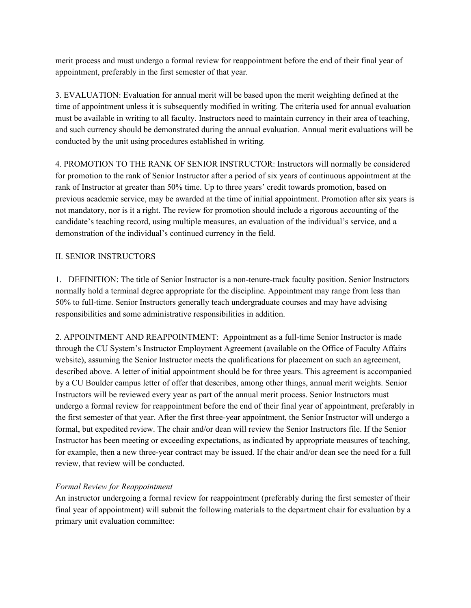merit process and must undergo a formal review for reappointment before the end of their final year of appointment, preferably in the first semester of that year.

3. EVALUATION: Evaluation for annual merit will be based upon the merit weighting defined at the time of appointment unless it is subsequently modified in writing. The criteria used for annual evaluation must be available in writing to all faculty. Instructors need to maintain currency in their area of teaching, and such currency should be demonstrated during the annual evaluation. Annual merit evaluations will be conducted by the unit using procedures established in writing.

4. PROMOTION TO THE RANK OF SENIOR INSTRUCTOR: Instructors will normally be considered for promotion to the rank of Senior Instructor after a period of six years of continuous appointment at the rank of Instructor at greater than 50% time. Up to three years' credit towards promotion, based on previous academic service, may be awarded at the time of initial appointment. Promotion after six years is not mandatory, nor is it a right. The review for promotion should include a rigorous accounting of the candidate's teaching record, using multiple measures, an evaluation of the individual's service, and a demonstration of the individual's continued currency in the field.

### II. SENIOR INSTRUCTORS

1. DEFINITION: The title of Senior Instructor is a non-tenure-track faculty position. Senior Instructors normally hold a terminal degree appropriate for the discipline. Appointment may range from less than 50% to full-time. Senior Instructors generally teach undergraduate courses and may have advising responsibilities and some administrative responsibilities in addition.

2. APPOINTMENT AND REAPPOINTMENT: Appointment as a full-time Senior Instructor is made through the CU System's Instructor Employment Agreement (available on the Office of Faculty Affairs website), assuming the Senior Instructor meets the qualifications for placement on such an agreement, described above. A letter of initial appointment should be for three years. This agreement is accompanied by a CU Boulder campus letter of offer that describes, among other things, annual merit weights. Senior Instructors will be reviewed every year as part of the annual merit process. Senior Instructors must undergo a formal review for reappointment before the end of their final year of appointment, preferably in the first semester of that year. After the first three-year appointment, the Senior Instructor will undergo a formal, but expedited review. The chair and/or dean will review the Senior Instructors file. If the Senior Instructor has been meeting or exceeding expectations, as indicated by appropriate measures of teaching, for example, then a new three-year contract may be issued. If the chair and/or dean see the need for a full review, that review will be conducted.

## *Formal Review for Reappointment*

An instructor undergoing a formal review for reappointment (preferably during the first semester of their final year of appointment) will submit the following materials to the department chair for evaluation by a primary unit evaluation committee: